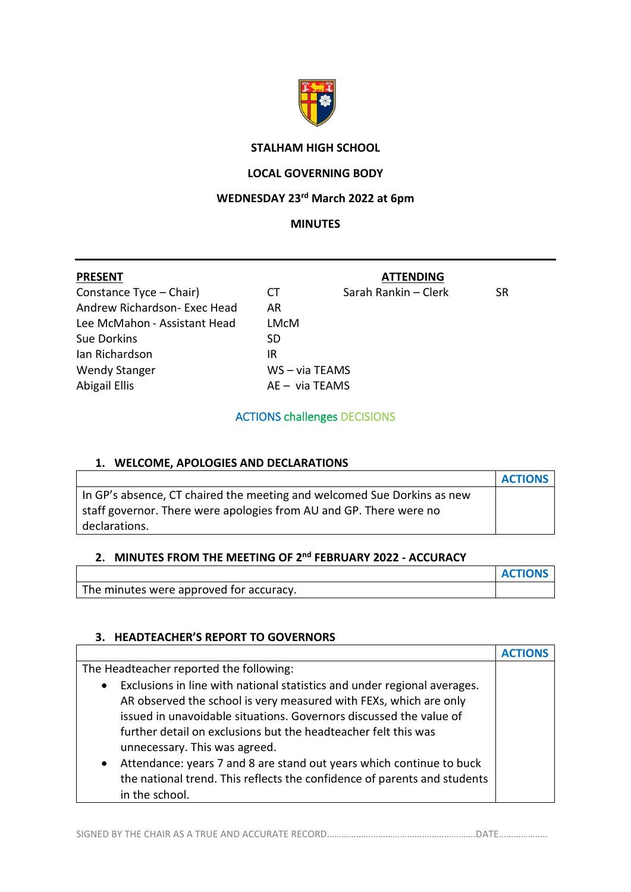

## **STALHAM HIGH SCHOOL**

# **LOCAL GOVERNING BODY**

# **WEDNESDAY 23rd March 2022 at 6pm**

#### **MINUTES**

| <b>PRESENT</b>               |                  | <b>ATTENDING</b>     |     |
|------------------------------|------------------|----------------------|-----|
| Constance Tyce - Chair)      | СT               | Sarah Rankin - Clerk | SR. |
| Andrew Richardson- Exec Head | AR               |                      |     |
| Lee McMahon - Assistant Head | LMcM             |                      |     |
| Sue Dorkins                  | SD               |                      |     |
| Ian Richardson               | IR               |                      |     |
| <b>Wendy Stanger</b>         | $WS - via TEAMS$ |                      |     |
| Abigail Ellis                | $AE - via TEAMS$ |                      |     |

ACTIONS challenges DECISIONS

#### **1. WELCOME, APOLOGIES AND DECLARATIONS**

|                                                                         | <b>ACTIONS</b> |
|-------------------------------------------------------------------------|----------------|
| In GP's absence, CT chaired the meeting and welcomed Sue Dorkins as new |                |
| staff governor. There were apologies from AU and GP. There were no      |                |
| declarations.                                                           |                |

# **2. MINUTES FROM THE MEETING OF 2 nd FEBRUARY 2022 - ACCURACY**

|                                         | <b>ACTIONS</b> |
|-----------------------------------------|----------------|
| The minutes were approved for accuracy. |                |

#### **3. HEADTEACHER'S REPORT TO GOVERNORS**

| The Headteacher reported the following:                                               |  |
|---------------------------------------------------------------------------------------|--|
| Exclusions in line with national statistics and under regional averages.<br>$\bullet$ |  |
| AR observed the school is very measured with FEXs, which are only                     |  |
| issued in unavoidable situations. Governors discussed the value of                    |  |
| further detail on exclusions but the headteacher felt this was                        |  |
| unnecessary. This was agreed.                                                         |  |
| Attendance: years 7 and 8 are stand out years which continue to buck<br>$\bullet$     |  |
| the national trend. This reflects the confidence of parents and students              |  |
| in the school.                                                                        |  |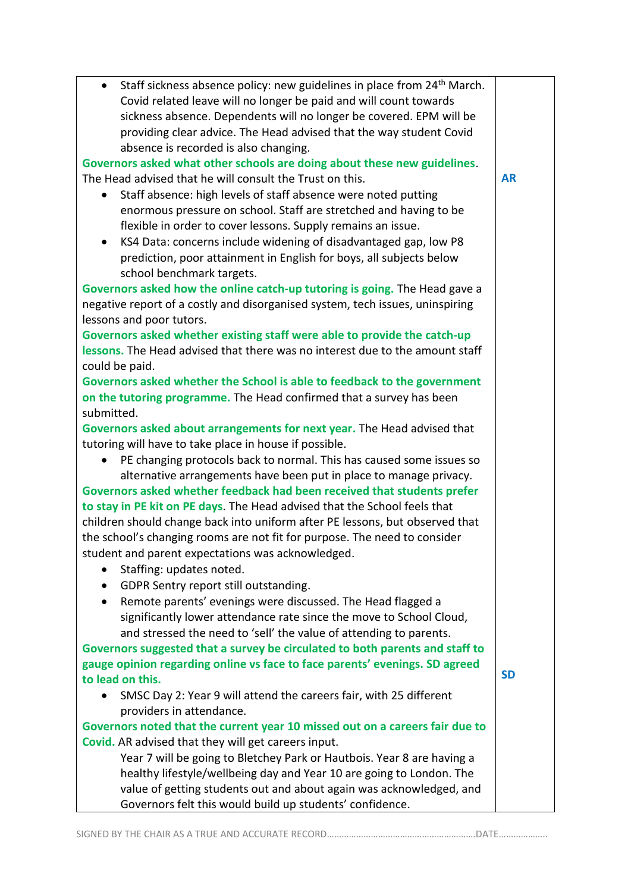| Staff sickness absence policy: new guidelines in place from 24 <sup>th</sup> March.<br>$\bullet$ |           |
|--------------------------------------------------------------------------------------------------|-----------|
| Covid related leave will no longer be paid and will count towards                                |           |
| sickness absence. Dependents will no longer be covered. EPM will be                              |           |
| providing clear advice. The Head advised that the way student Covid                              |           |
| absence is recorded is also changing.                                                            |           |
| Governors asked what other schools are doing about these new guidelines.                         |           |
| The Head advised that he will consult the Trust on this.                                         | <b>AR</b> |
| Staff absence: high levels of staff absence were noted putting<br>$\bullet$                      |           |
| enormous pressure on school. Staff are stretched and having to be                                |           |
| flexible in order to cover lessons. Supply remains an issue.                                     |           |
| KS4 Data: concerns include widening of disadvantaged gap, low P8                                 |           |
| prediction, poor attainment in English for boys, all subjects below                              |           |
| school benchmark targets.                                                                        |           |
| Governors asked how the online catch-up tutoring is going. The Head gave a                       |           |
| negative report of a costly and disorganised system, tech issues, uninspiring                    |           |
| lessons and poor tutors.                                                                         |           |
| Governors asked whether existing staff were able to provide the catch-up                         |           |
| lessons. The Head advised that there was no interest due to the amount staff                     |           |
| could be paid.                                                                                   |           |
| Governors asked whether the School is able to feedback to the government                         |           |
| on the tutoring programme. The Head confirmed that a survey has been                             |           |
| submitted.                                                                                       |           |
| Governors asked about arrangements for next year. The Head advised that                          |           |
| tutoring will have to take place in house if possible.                                           |           |
| PE changing protocols back to normal. This has caused some issues so<br>$\bullet$                |           |
| alternative arrangements have been put in place to manage privacy.                               |           |
| Governors asked whether feedback had been received that students prefer                          |           |
| to stay in PE kit on PE days. The Head advised that the School feels that                        |           |
| children should change back into uniform after PE lessons, but observed that                     |           |
| the school's changing rooms are not fit for purpose. The need to consider                        |           |
| student and parent expectations was acknowledged.                                                |           |
| Staffing: updates noted.                                                                         |           |
| GDPR Sentry report still outstanding.<br>٠                                                       |           |
| Remote parents' evenings were discussed. The Head flagged a<br>$\bullet$                         |           |
| significantly lower attendance rate since the move to School Cloud,                              |           |
| and stressed the need to 'sell' the value of attending to parents.                               |           |
| Governors suggested that a survey be circulated to both parents and staff to                     |           |
| gauge opinion regarding online vs face to face parents' evenings. SD agreed                      |           |
| to lead on this.                                                                                 | <b>SD</b> |
| SMSC Day 2: Year 9 will attend the careers fair, with 25 different                               |           |
| providers in attendance.                                                                         |           |
| Governors noted that the current year 10 missed out on a careers fair due to                     |           |
| Covid. AR advised that they will get careers input.                                              |           |
| Year 7 will be going to Bletchey Park or Hautbois. Year 8 are having a                           |           |
| healthy lifestyle/wellbeing day and Year 10 are going to London. The                             |           |
| value of getting students out and about again was acknowledged, and                              |           |
| Governors felt this would build up students' confidence.                                         |           |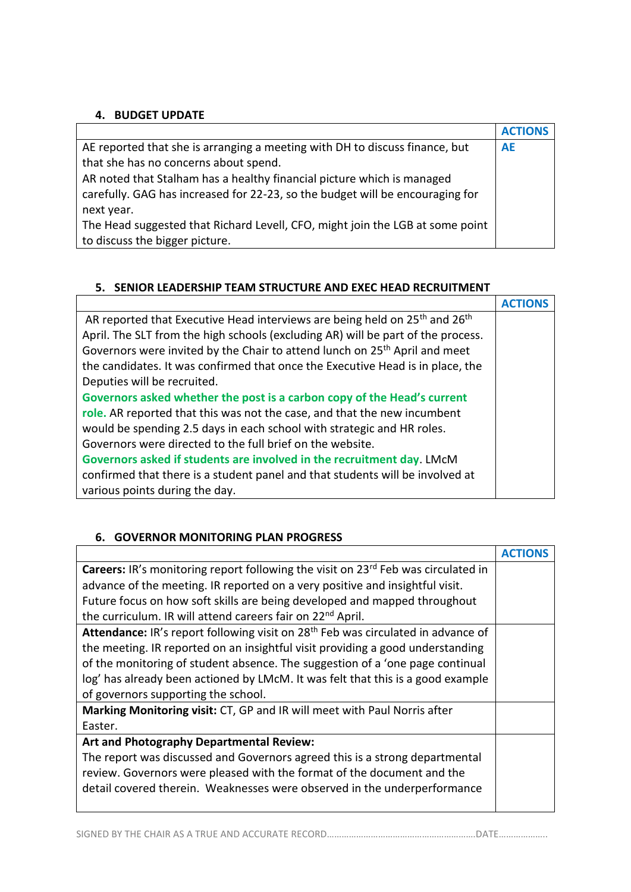## **4. BUDGET UPDATE**

|                                                                               | <b>ACTIONS</b> |
|-------------------------------------------------------------------------------|----------------|
| AE reported that she is arranging a meeting with DH to discuss finance, but   | <b>AE</b>      |
| that she has no concerns about spend.                                         |                |
| AR noted that Stalham has a healthy financial picture which is managed        |                |
| carefully. GAG has increased for 22-23, so the budget will be encouraging for |                |
| next year.                                                                    |                |
| The Head suggested that Richard Levell, CFO, might join the LGB at some point |                |
| to discuss the bigger picture.                                                |                |

## **5. SENIOR LEADERSHIP TEAM STRUCTURE AND EXEC HEAD RECRUITMENT**

| AR reported that Executive Head interviews are being held on 25 <sup>th</sup> and 26 <sup>th</sup> |  |
|----------------------------------------------------------------------------------------------------|--|
| April. The SLT from the high schools (excluding AR) will be part of the process.                   |  |
| Governors were invited by the Chair to attend lunch on 25 <sup>th</sup> April and meet             |  |
| the candidates. It was confirmed that once the Executive Head is in place, the                     |  |
| Deputies will be recruited.                                                                        |  |
| Governors asked whether the post is a carbon copy of the Head's current                            |  |
| role. AR reported that this was not the case, and that the new incumbent                           |  |
| would be spending 2.5 days in each school with strategic and HR roles.                             |  |
| Governors were directed to the full brief on the website.                                          |  |
| Governors asked if students are involved in the recruitment day. LMcM                              |  |
| confirmed that there is a student panel and that students will be involved at                      |  |
| various points during the day.                                                                     |  |

## **6. GOVERNOR MONITORING PLAN PROGRESS**

| <b>Careers:</b> IR's monitoring report following the visit on 23 <sup>rd</sup> Feb was circulated in |  |
|------------------------------------------------------------------------------------------------------|--|
| advance of the meeting. IR reported on a very positive and insightful visit.                         |  |
| Future focus on how soft skills are being developed and mapped throughout                            |  |
| the curriculum. IR will attend careers fair on 22 <sup>nd</sup> April.                               |  |
| Attendance: IR's report following visit on 28 <sup>th</sup> Feb was circulated in advance of         |  |
| the meeting. IR reported on an insightful visit providing a good understanding                       |  |
| of the monitoring of student absence. The suggestion of a 'one page continual                        |  |
| log' has already been actioned by LMcM. It was felt that this is a good example                      |  |
| of governors supporting the school.                                                                  |  |
| Marking Monitoring visit: CT, GP and IR will meet with Paul Norris after                             |  |
| Easter.                                                                                              |  |
| Art and Photography Departmental Review:                                                             |  |
| The report was discussed and Governors agreed this is a strong departmental                          |  |
| review. Governors were pleased with the format of the document and the                               |  |
| detail covered therein. Weaknesses were observed in the underperformance                             |  |
|                                                                                                      |  |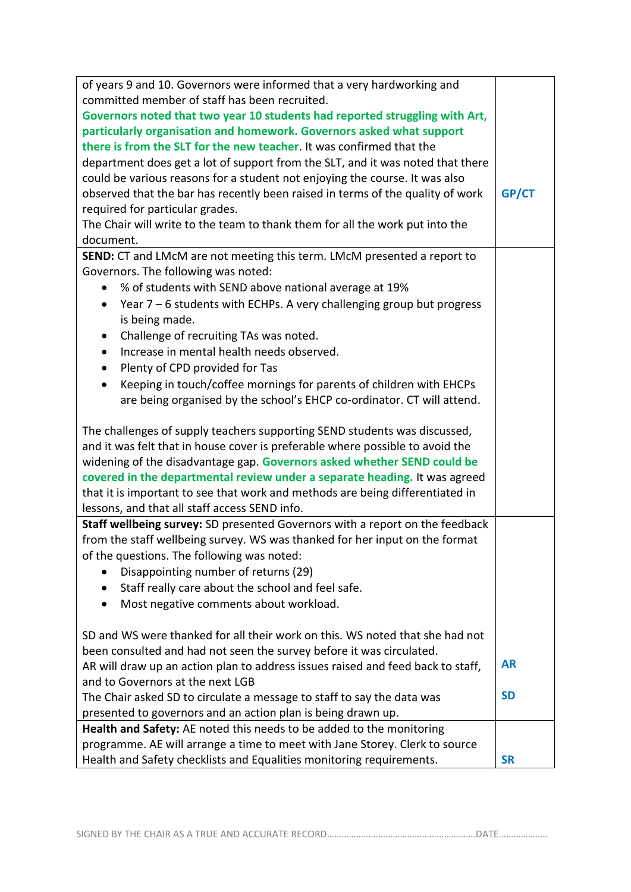| of years 9 and 10. Governors were informed that a very hardworking and           |           |
|----------------------------------------------------------------------------------|-----------|
| committed member of staff has been recruited.                                    |           |
| Governors noted that two year 10 students had reported struggling with Art,      |           |
| particularly organisation and homework. Governors asked what support             |           |
| there is from the SLT for the new teacher. It was confirmed that the             |           |
| department does get a lot of support from the SLT, and it was noted that there   |           |
| could be various reasons for a student not enjoying the course. It was also      |           |
| observed that the bar has recently been raised in terms of the quality of work   | GP/CT     |
| required for particular grades.                                                  |           |
| The Chair will write to the team to thank them for all the work put into the     |           |
| document.                                                                        |           |
| SEND: CT and LMcM are not meeting this term. LMcM presented a report to          |           |
| Governors. The following was noted:                                              |           |
| % of students with SEND above national average at 19%<br>$\bullet$               |           |
| Year $7 - 6$ students with ECHPs. A very challenging group but progress          |           |
| is being made.                                                                   |           |
| Challenge of recruiting TAs was noted.                                           |           |
| Increase in mental health needs observed.<br>$\bullet$                           |           |
| Plenty of CPD provided for Tas<br>$\bullet$                                      |           |
| Keeping in touch/coffee mornings for parents of children with EHCPs<br>$\bullet$ |           |
| are being organised by the school's EHCP co-ordinator. CT will attend.           |           |
| The challenges of supply teachers supporting SEND students was discussed,        |           |
| and it was felt that in house cover is preferable where possible to avoid the    |           |
| widening of the disadvantage gap. Governors asked whether SEND could be          |           |
| covered in the departmental review under a separate heading. It was agreed       |           |
| that it is important to see that work and methods are being differentiated in    |           |
| lessons, and that all staff access SEND info.                                    |           |
| Staff wellbeing survey: SD presented Governors with a report on the feedback     |           |
| from the staff wellbeing survey. WS was thanked for her input on the format      |           |
| of the questions. The following was noted:                                       |           |
| Disappointing number of returns (29)                                             |           |
| Staff really care about the school and feel safe.<br>$\bullet$                   |           |
| Most negative comments about workload.<br>$\bullet$                              |           |
|                                                                                  |           |
| SD and WS were thanked for all their work on this. WS noted that she had not     |           |
| been consulted and had not seen the survey before it was circulated.             |           |
| AR will draw up an action plan to address issues raised and feed back to staff,  | <b>AR</b> |
| and to Governors at the next LGB                                                 |           |
| The Chair asked SD to circulate a message to staff to say the data was           | <b>SD</b> |
| presented to governors and an action plan is being drawn up.                     |           |
| Health and Safety: AE noted this needs to be added to the monitoring             |           |
| programme. AE will arrange a time to meet with Jane Storey. Clerk to source      |           |
| Health and Safety checklists and Equalities monitoring requirements.             | <b>SR</b> |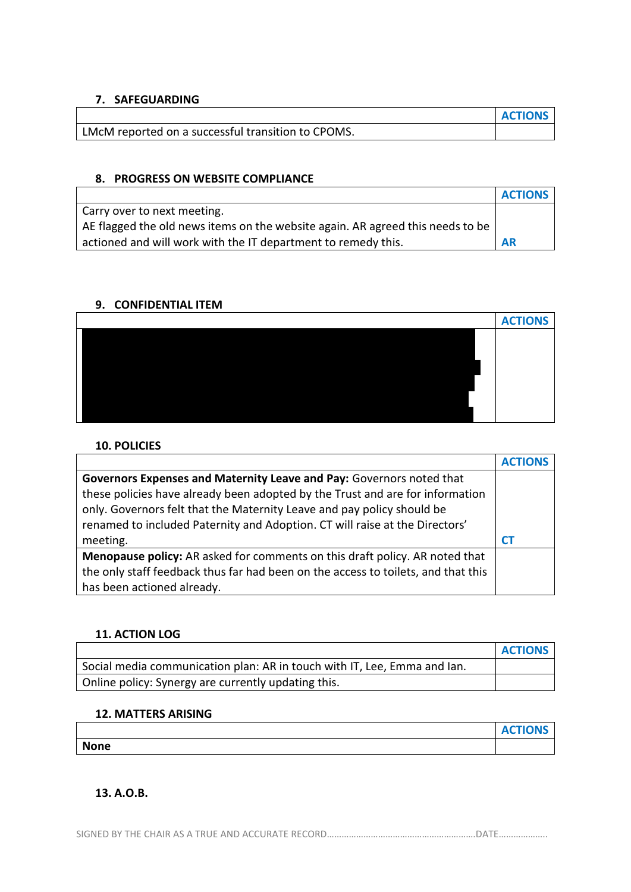### **7. SAFEGUARDING**

|                                                    | <b>ACTIONS</b> |
|----------------------------------------------------|----------------|
| LMcM reported on a successful transition to CPOMS. |                |

### **8. PROGRESS ON WEBSITE COMPLIANCE**

|                                                                                | <b>ACTIONS</b> |
|--------------------------------------------------------------------------------|----------------|
| Carry over to next meeting.                                                    |                |
| AE flagged the old news items on the website again. AR agreed this needs to be |                |
| actioned and will work with the IT department to remedy this.                  | <b>AR</b>      |

### **9. CONFIDENTIAL ITEM**

| <b>ACTIONS</b> |
|----------------|
|                |
|                |
|                |
|                |
|                |
|                |

#### **10. POLICIES**

|                                                                                   | <b>ACTIONS</b> |
|-----------------------------------------------------------------------------------|----------------|
| Governors Expenses and Maternity Leave and Pay: Governors noted that              |                |
| these policies have already been adopted by the Trust and are for information     |                |
| only. Governors felt that the Maternity Leave and pay policy should be            |                |
| renamed to included Paternity and Adoption. CT will raise at the Directors'       |                |
| meeting.                                                                          |                |
| Menopause policy: AR asked for comments on this draft policy. AR noted that       |                |
| the only staff feedback thus far had been on the access to toilets, and that this |                |
| has been actioned already.                                                        |                |

#### **11. ACTION LOG**

|                                                                          | <b>ACTIONS</b> |
|--------------------------------------------------------------------------|----------------|
| Social media communication plan: AR in touch with IT, Lee, Emma and Ian. |                |
| Online policy: Synergy are currently updating this.                      |                |

#### **12. MATTERS ARISING**

|             | <b>ACTIONS</b> |
|-------------|----------------|
| <b>None</b> |                |

## **13. A.O.B.**